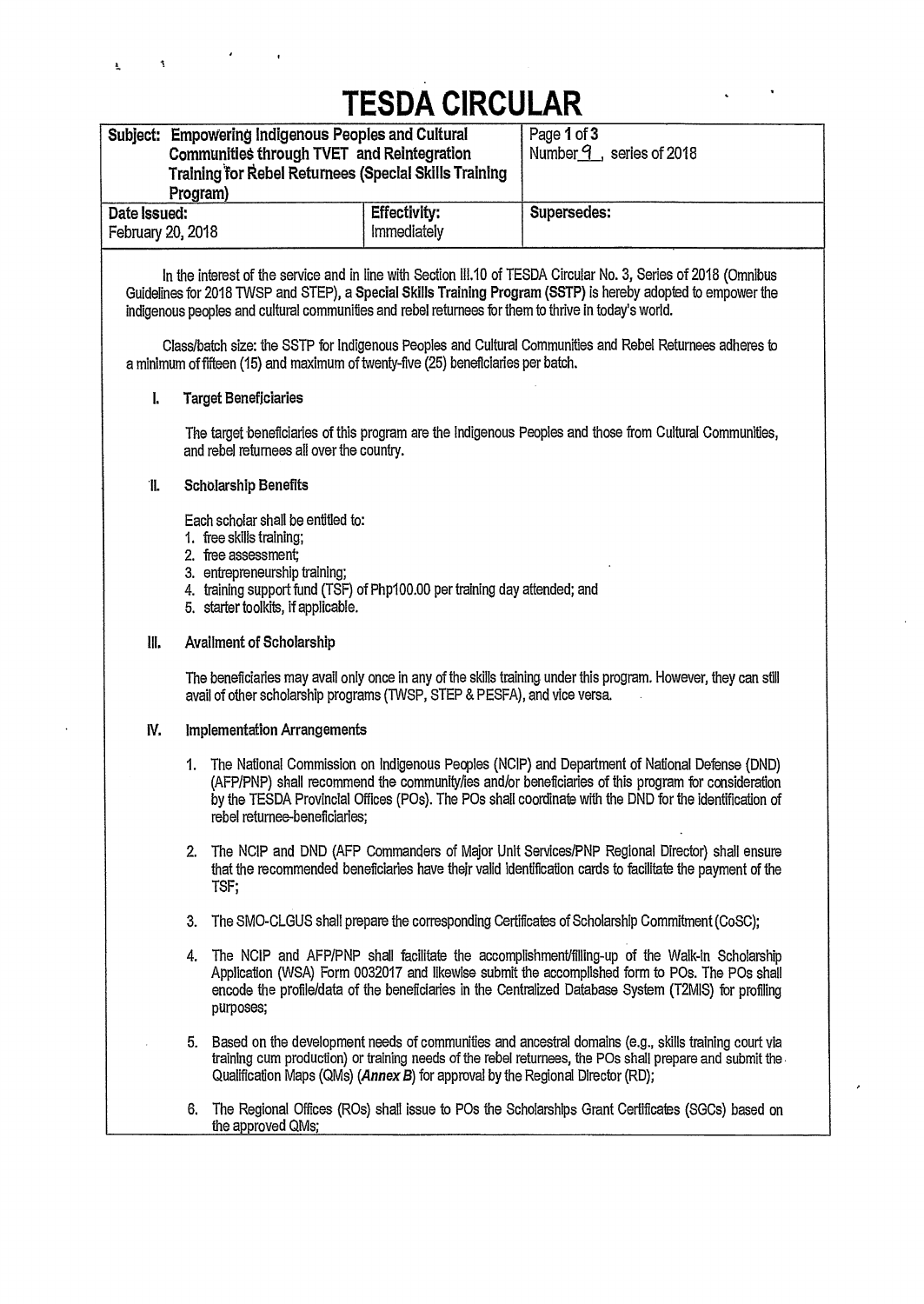## **TESDA CIRCULAR**

| Subject: Empowering Indigenous Peoples and Cultural<br>Communities through TVET and Reintegration<br>Training for Rebel Returnees (Special Skills Training<br>Program) |             | Page 1 of 3<br>Number $9$ , series of 2018 |
|------------------------------------------------------------------------------------------------------------------------------------------------------------------------|-------------|--------------------------------------------|
| Date Issued:<br>February 20, 2018                                                                                                                                      | Supersedes: |                                            |

**In the interest** of the service and in line with Section 111.10 of TESDA Circular No. 3, Series of 2018 (Omnibus Guidelines for 2018 TWSP and STEP), **a Special Skills Training Program (SSTP) is hereby adopted to empower the indigenous peoples and cultural communities and rebel returnees for them to thrive in today's world.** 

**Class/batch size: the SSTP for Indigenous Peoples and Cultural Communities and Rebel Returnees adheres to a minimum of fifteen (15) and maximum of twenty-five (25) beneficiaries per batch.** 

#### **1. Target Beneficiaries**

The target beneficiaries of this program are the Indigenous Peoples and those from Cultural Communities, and rebel returnees all over the country.

#### **\*II. Scholarship Benefits**

**Each scholar shall be entitled to:** 

- **1. free skills** training;
- 2. free assessment;
- 3. entrepreneurship training;
- 4. training support fund (TSF) of Php100.00 per training day attended; and
- 5. starter toolkits, if applicable.

#### **111. Availment of Scholarship**

**The beneficiaries may avail only once in any of the skills training under this program. However, they can still avail of other scholarship programs (TWSP, STEP & PESFA), and vice versa.** 

#### **IV. Implementation Arrangements**

- **1. The National Commission on Indigenous Peoples (NCIP) and Department of National Defense (DND) (AFP/PNP) shall recommend the community/ies** and/or beneficiaries of this program for consideration by the TESDA Provincial Offices (POs). The POs shall coordinate with the DND for the identification of rebel returnee-beneficiaries;
- 2. The NCIP and DND (AFP Commanders of Major Unit Services/PNP Regional Director) shall ensure that the recommended beneficiaries have their valid identification cards to facilitate the payment of the TSF;
- 3. The SMO-CLGUS shall prepare the corresponding Certificates of Scholarship Commitment (CoSC);
- 4. The NCIP and AFP/PNP shall facilitate the accomplishment/filling-up of the Walk-in Scholarship Application (WSA) Form 0032017 and likewise submit the accomplished form to POs. The POs shall encode the profile/data of the beneficiaries in the Centralized Database System (T2MIS) for profiling purposes;
- 5. Based on the development needs of communities and ancestral domains (e.g., skills training court via training cum production) or training needs of the rebel returnees, the POs shall prepare and submit the Qualification Maps (QMs) *(Annex B)* for approval by the Regional Director (RD);
- 6. The Regional Offices (R0s) shall issue to POs the Scholarships Grant Certificates (SGCs) based on the approved QMs;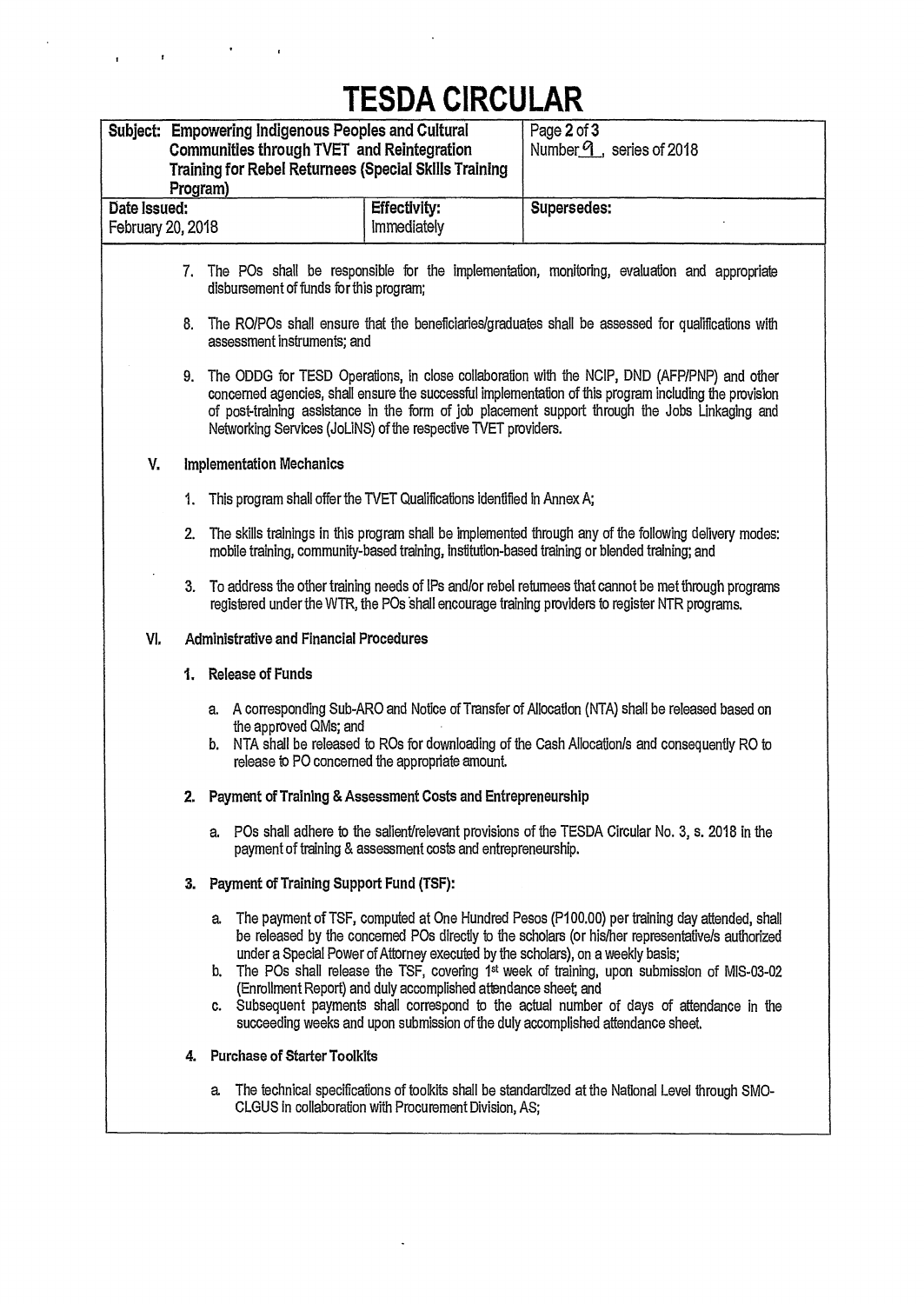# **TESDA CIRCULAR**

 $\mathbf{r}^{\left(1\right)}$  and  $\mathbf{r}$ 

|                                   | Program) | Subject: Empowering Indigenous Peoples and Cultural<br>Communities through TVET and Reintegration<br><b>Training for Rebel Returnees (Special Skills Training</b> |                                                                                                                                                    | Page 2 of 3<br>Number $9$ , series of 2018                                                                                                                                                                                                                                                                                                                                                                                                                                                  |
|-----------------------------------|----------|-------------------------------------------------------------------------------------------------------------------------------------------------------------------|----------------------------------------------------------------------------------------------------------------------------------------------------|---------------------------------------------------------------------------------------------------------------------------------------------------------------------------------------------------------------------------------------------------------------------------------------------------------------------------------------------------------------------------------------------------------------------------------------------------------------------------------------------|
| Date Issued:<br>February 20, 2018 |          |                                                                                                                                                                   | <b>Effectivity:</b><br><b>Immediately</b>                                                                                                          | Supersedes:                                                                                                                                                                                                                                                                                                                                                                                                                                                                                 |
|                                   |          | disbursement of funds for this program;                                                                                                                           |                                                                                                                                                    | 7. The POs shall be responsible for the implementation, monitoring, evaluation and appropriate                                                                                                                                                                                                                                                                                                                                                                                              |
|                                   | 8.       | assessment instruments; and                                                                                                                                       |                                                                                                                                                    | The RO/POs shall ensure that the beneficiaries/graduates shall be assessed for qualifications with                                                                                                                                                                                                                                                                                                                                                                                          |
|                                   |          |                                                                                                                                                                   | Networking Services (JoLiNS) of the respective TVET providers.                                                                                     | 9. The ODDG for TESD Operations, in close collaboration with the NCIP, DND (AFP/PNP) and other<br>concerned agencies, shall ensure the successful implementation of this program including the provision<br>of post-training assistance in the form of job placement support through the Jobs Linkaging and                                                                                                                                                                                 |
| V.                                |          | <b>Implementation Mechanics</b>                                                                                                                                   |                                                                                                                                                    |                                                                                                                                                                                                                                                                                                                                                                                                                                                                                             |
|                                   | 1.       |                                                                                                                                                                   | This program shall offer the TVET Qualifications identified in Annex A;                                                                            |                                                                                                                                                                                                                                                                                                                                                                                                                                                                                             |
|                                   | 2.       |                                                                                                                                                                   |                                                                                                                                                    | The skills trainings in this program shall be implemented through any of the following delivery modes:<br>mobile training, community-based training, institution-based training or blended training; and                                                                                                                                                                                                                                                                                    |
|                                   |          |                                                                                                                                                                   |                                                                                                                                                    | 3. To address the other training needs of IPs and/or rebel returnees that cannot be met through programs<br>registered under the WTR, the POs shall encourage training providers to register NTR programs.                                                                                                                                                                                                                                                                                  |
| VI.                               |          | <b>Administrative and Financial Procedures</b>                                                                                                                    |                                                                                                                                                    |                                                                                                                                                                                                                                                                                                                                                                                                                                                                                             |
|                                   |          | 1. Release of Funds                                                                                                                                               |                                                                                                                                                    |                                                                                                                                                                                                                                                                                                                                                                                                                                                                                             |
|                                   |          | the approved QMs; and<br>b.                                                                                                                                       | release to PO concerned the appropriate amount.                                                                                                    | a. A corresponding Sub-ARO and Notice of Transfer of Allocation (NTA) shall be released based on<br>NTA shall be released to ROs for downloading of the Cash Allocation/s and consequently RO to                                                                                                                                                                                                                                                                                            |
|                                   |          |                                                                                                                                                                   | 2. Payment of Training & Assessment Costs and Entrepreneurship                                                                                     |                                                                                                                                                                                                                                                                                                                                                                                                                                                                                             |
|                                   |          |                                                                                                                                                                   | payment of training & assessment costs and entrepreneurship.                                                                                       | a. POs shall adhere to the salient/relevant provisions of the TESDA Circular No. 3, s. 2018 in the                                                                                                                                                                                                                                                                                                                                                                                          |
|                                   | З.       | Payment of Training Support Fund (TSF):                                                                                                                           |                                                                                                                                                    |                                                                                                                                                                                                                                                                                                                                                                                                                                                                                             |
|                                   |          | a.<br>b.                                                                                                                                                          | under a Special Power of Attorney executed by the scholars), on a weekly basis;<br>(Enrollment Report) and duly accomplished attendance sheet; and | The payment of TSF, computed at One Hundred Pesos (P100.00) per training day attended, shall<br>be released by the concerned POs directly to the scholars (or his/her representative/s authorized<br>The POs shall release the TSF, covering 1 <sup>st</sup> week of training, upon submission of MIS-03-02<br>c. Subsequent payments shall correspond to the actual number of days of attendance in the<br>succeeding weeks and upon submission of the duly accomplished attendance sheet. |
|                                   | 4.       | <b>Purchase of Starter Toolkits</b>                                                                                                                               |                                                                                                                                                    |                                                                                                                                                                                                                                                                                                                                                                                                                                                                                             |
|                                   |          | a.                                                                                                                                                                | CLGUS in collaboration with Procurement Division, AS;                                                                                              | The technical specifications of toolkits shall be standardized at the National Level through SMO-                                                                                                                                                                                                                                                                                                                                                                                           |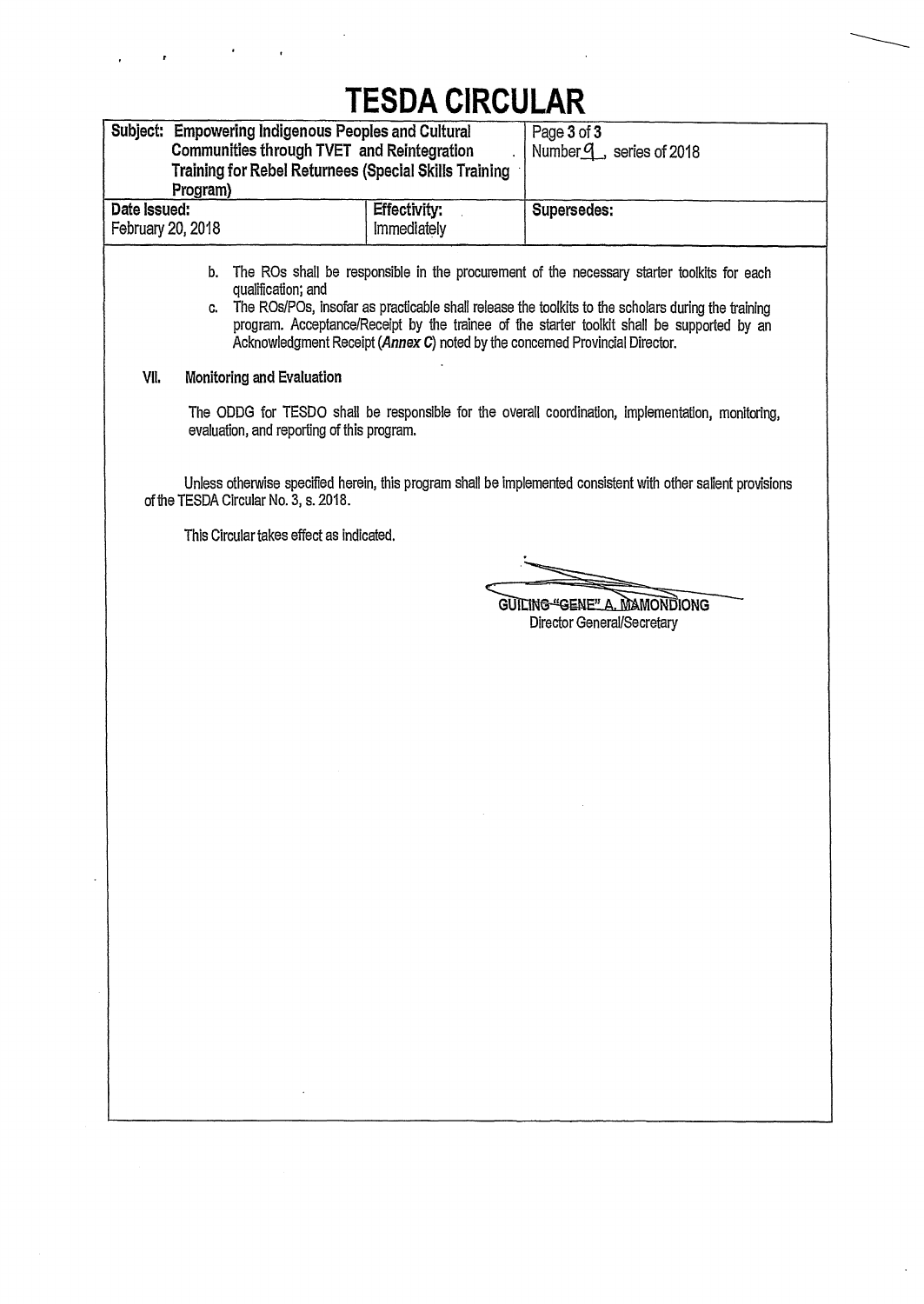# **TESDA CIRCULAR**

| Subject: Empowering Indigenous Peoples and Cultural                        |                                                                              | Page 3 of 3                                                                                                                                                                                                                                                                                    |
|----------------------------------------------------------------------------|------------------------------------------------------------------------------|------------------------------------------------------------------------------------------------------------------------------------------------------------------------------------------------------------------------------------------------------------------------------------------------|
| Communities through TVET and Reintegration                                 |                                                                              | Number <sup>q</sup> , series of 2018                                                                                                                                                                                                                                                           |
| Training for Rebel Returnees (Special Skills Training                      |                                                                              |                                                                                                                                                                                                                                                                                                |
| Program)                                                                   |                                                                              |                                                                                                                                                                                                                                                                                                |
| Date Issued:<br>February 20, 2018                                          | <b>Effectivity:</b><br><b>Immediately</b>                                    | Supersedes:                                                                                                                                                                                                                                                                                    |
|                                                                            |                                                                              |                                                                                                                                                                                                                                                                                                |
| b.<br>qualification; and<br>C.<br>VII.<br><b>Monitoring and Evaluation</b> | Acknowledgment Receipt (Annex C) noted by the concerned Provincial Director. | The ROs shall be responsible in the procurement of the necessary starter toolkits for each<br>The ROs/POs, insofar as practicable shall release the toolkits to the scholars during the training<br>program. Acceptance/Receipt by the trainee of the starter toolkit shall be supported by an |
|                                                                            |                                                                              |                                                                                                                                                                                                                                                                                                |
| evaluation, and reporting of this program.                                 |                                                                              | The ODDG for TESDO shall be responsible for the overall coordination, implementation, monitoring,                                                                                                                                                                                              |
| of the TESDA Circular No. 3, s. 2018.                                      |                                                                              | Unless otherwise specified herein, this program shall be implemented consistent with other salient provisions                                                                                                                                                                                  |
| This Circular takes effect as indicated.                                   |                                                                              |                                                                                                                                                                                                                                                                                                |
|                                                                            |                                                                              |                                                                                                                                                                                                                                                                                                |
|                                                                            |                                                                              |                                                                                                                                                                                                                                                                                                |
|                                                                            |                                                                              | GUILING "GENE" A. MAMONDIONG<br>Director General/Secretary                                                                                                                                                                                                                                     |
|                                                                            |                                                                              |                                                                                                                                                                                                                                                                                                |
|                                                                            |                                                                              |                                                                                                                                                                                                                                                                                                |
|                                                                            |                                                                              |                                                                                                                                                                                                                                                                                                |
|                                                                            |                                                                              |                                                                                                                                                                                                                                                                                                |
|                                                                            |                                                                              |                                                                                                                                                                                                                                                                                                |
|                                                                            |                                                                              |                                                                                                                                                                                                                                                                                                |
|                                                                            |                                                                              |                                                                                                                                                                                                                                                                                                |
|                                                                            |                                                                              |                                                                                                                                                                                                                                                                                                |
|                                                                            |                                                                              |                                                                                                                                                                                                                                                                                                |
|                                                                            |                                                                              |                                                                                                                                                                                                                                                                                                |
|                                                                            |                                                                              |                                                                                                                                                                                                                                                                                                |
|                                                                            |                                                                              |                                                                                                                                                                                                                                                                                                |
|                                                                            |                                                                              |                                                                                                                                                                                                                                                                                                |
|                                                                            |                                                                              |                                                                                                                                                                                                                                                                                                |
|                                                                            |                                                                              |                                                                                                                                                                                                                                                                                                |
|                                                                            |                                                                              |                                                                                                                                                                                                                                                                                                |
|                                                                            |                                                                              |                                                                                                                                                                                                                                                                                                |
|                                                                            |                                                                              |                                                                                                                                                                                                                                                                                                |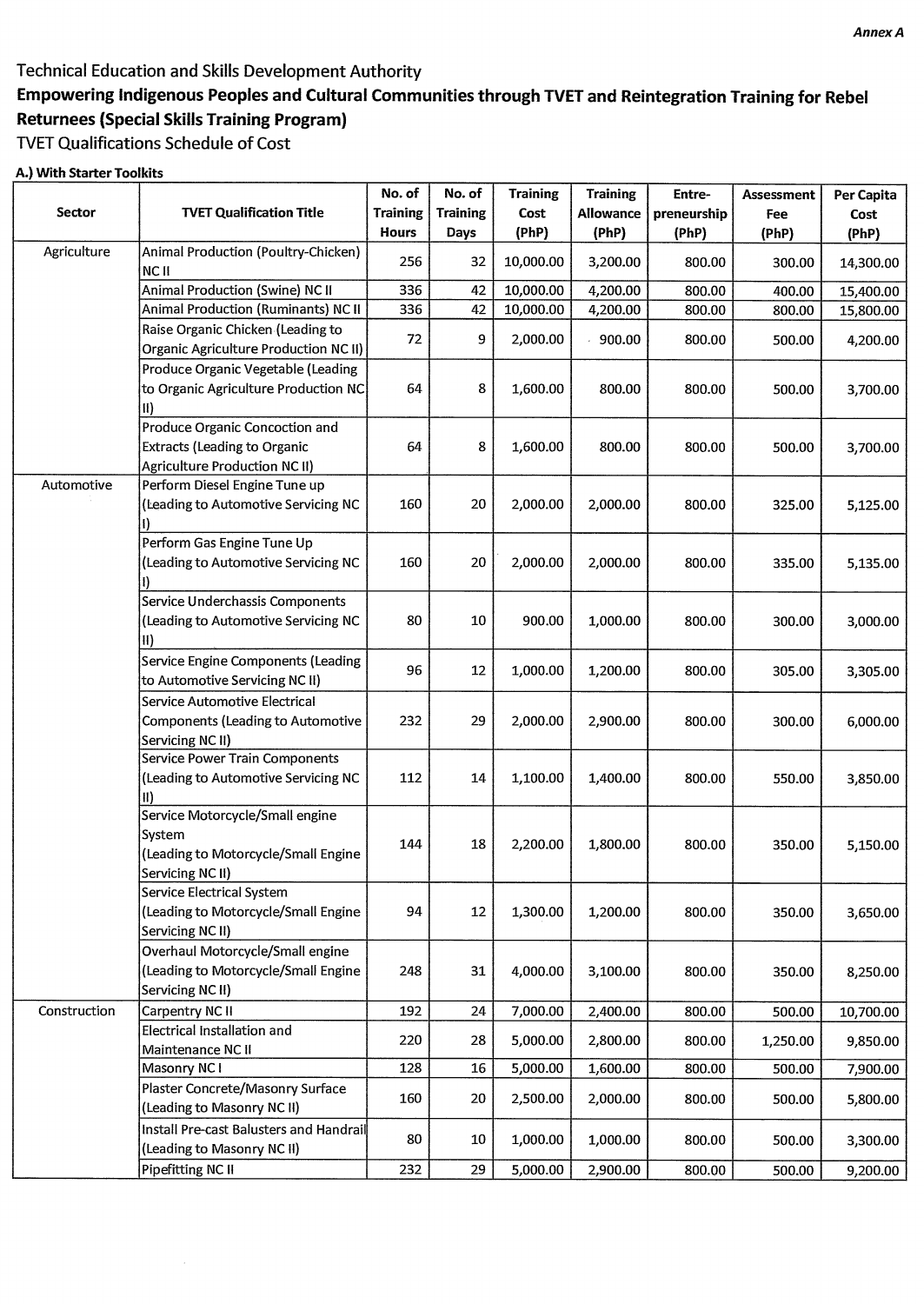## **Technical Education and Skills Development Authority**

## **Empowering indigenous Peoples and Cultural Communities through TVET and Reintegration Training for Rebel Returnees (Special Skills Training Program)**

## **WET Qualifications Schedule of Cost**

### **A.) With Starter Toolkits**

| Sector       | <b>TVET Qualification Title</b>              | No. of<br><b>Training</b> | No. of<br><b>Training</b> | <b>Training</b><br>Cost | <b>Training</b><br><b>Allowance</b> | Entre-<br>preneurship | <b>Assessment</b><br><b>Fee</b> | Per Capita<br>Cost |
|--------------|----------------------------------------------|---------------------------|---------------------------|-------------------------|-------------------------------------|-----------------------|---------------------------------|--------------------|
|              |                                              | <b>Hours</b>              | <b>Days</b>               | (PhP)                   | (PhP)                               | (PhP)                 | (PhP)                           | (PhP)              |
| Agriculture  | Animal Production (Poultry-Chicken)<br>NC II | 256                       | 32                        | 10,000.00               | 3,200.00                            | 800.00                | 300.00                          | 14,300.00          |
|              | Animal Production (Swine) NC II              | 336                       | 42                        | 10,000.00               | 4,200.00                            | 800.00                | 400.00                          | 15,400.00          |
|              | Animal Production (Ruminants) NC II          | 336                       | 42                        | 10,000.00               | 4,200.00                            | 800.00                | 800.00                          | 15,800.00          |
|              | Raise Organic Chicken (Leading to            | 72                        | 9                         | 2,000.00                | 900.00                              | 800.00                | 500.00                          | 4,200.00           |
|              | <b>Organic Agriculture Production NC II)</b> |                           |                           |                         |                                     |                       |                                 |                    |
|              | Produce Organic Vegetable (Leading           |                           |                           |                         |                                     |                       |                                 |                    |
|              | to Organic Agriculture Production NC         | 64                        | 8                         | 1,600.00                | 800.00                              | 800.00                | 500.00                          | 3,700.00           |
|              | $\vert$ II)                                  |                           |                           |                         |                                     |                       |                                 |                    |
|              | Produce Organic Concoction and               |                           |                           |                         |                                     |                       |                                 |                    |
|              | <b>Extracts (Leading to Organic</b>          | 64                        | 8                         | 1,600.00                | 800.00                              | 800.00                | 500.00                          | 3,700.00           |
|              | Agriculture Production NC II)                |                           |                           |                         |                                     |                       |                                 |                    |
| Automotive   | Perform Diesel Engine Tune up                |                           |                           |                         |                                     |                       |                                 |                    |
|              | (Leading to Automotive Servicing NC          | 160                       | 20                        | 2,000.00                | 2,000.00                            | 800.00                | 325.00                          | 5,125.00           |
|              |                                              |                           |                           |                         |                                     |                       |                                 |                    |
|              | Perform Gas Engine Tune Up                   |                           |                           |                         |                                     |                       |                                 |                    |
|              | (Leading to Automotive Servicing NC          | 160                       | 20                        | 2,000.00                | 2,000.00                            | 800.00                | 335.00                          | 5,135.00           |
|              |                                              |                           |                           |                         |                                     |                       |                                 |                    |
|              | Service Underchassis Components              |                           |                           |                         |                                     |                       |                                 |                    |
|              | (Leading to Automotive Servicing NC          | 80                        | 10                        | 900.00                  | 1,000.00                            | 800.00                | 300.00                          | 3,000.00           |
|              | II)                                          |                           |                           |                         |                                     |                       |                                 |                    |
|              | Service Engine Components (Leading           |                           |                           |                         |                                     |                       |                                 |                    |
|              | to Automotive Servicing NC II)               | 96                        | 12                        | 1,000.00                | 1,200.00                            | 800.00                | 305.00                          | 3,305.00           |
|              | Service Automotive Electrical                |                           |                           |                         |                                     |                       |                                 |                    |
|              | <b>Components (Leading to Automotive</b>     | 232                       | 29                        | 2,000.00                | 2,900.00                            | 800.00                | 300.00                          | 6,000.00           |
|              | Servicing NC II)                             |                           |                           |                         |                                     |                       |                                 |                    |
|              | Service Power Train Components               |                           |                           |                         |                                     |                       |                                 |                    |
|              | (Leading to Automotive Servicing NC          | 112                       | 14                        | 1,100.00                | 1,400.00                            | 800.00                | 550.00                          | 3,850.00           |
|              | H)                                           |                           |                           |                         |                                     |                       |                                 |                    |
|              | Service Motorcycle/Small engine              |                           |                           |                         |                                     |                       |                                 |                    |
|              | System                                       |                           |                           |                         |                                     |                       |                                 |                    |
|              | (Leading to Motorcycle/Small Engine          | 144                       | 18                        | 2,200.00                | 1,800.00                            | 800.00                | 350.00                          | 5,150.00           |
|              | Servicing NC II)                             |                           |                           |                         |                                     |                       |                                 |                    |
|              | Service Electrical System                    |                           |                           |                         |                                     |                       |                                 |                    |
|              | (Leading to Motorcycle/Small Engine          | 94                        | 12                        | 1,300.00                | 1,200.00                            | 800.00                | 350.00                          | 3,650.00           |
|              | Servicing NC II)                             |                           |                           |                         |                                     |                       |                                 |                    |
|              | Overhaul Motorcycle/Small engine             |                           |                           |                         |                                     |                       |                                 |                    |
|              | (Leading to Motorcycle/Small Engine          | 248                       | 31                        | 4,000.00                | 3,100.00                            | 800.00                | 350.00                          | 8,250.00           |
|              | Servicing NC II)                             |                           |                           |                         |                                     |                       |                                 |                    |
| Construction | Carpentry NC II                              | 192                       | 24                        | 7,000.00                | 2,400.00                            | 800.00                | 500.00                          | 10,700.00          |
|              | Electrical Installation and                  |                           |                           |                         |                                     |                       |                                 |                    |
|              | Maintenance NC II                            | 220                       | 28                        | 5,000.00                | 2,800.00                            | 800.00                | 1,250.00                        | 9,850.00           |
|              | Masonry NC I                                 | 128                       | 16                        | 5,000.00                | 1,600.00                            | 800.00                | 500.00                          | 7,900.00           |
|              | Plaster Concrete/Masonry Surface             |                           |                           |                         |                                     |                       |                                 |                    |
|              | (Leading to Masonry NC II)                   | 160                       | 20                        | 2,500.00                | 2,000.00                            | 800.00                | 500.00                          | 5,800.00           |
|              | Install Pre-cast Balusters and Handrail      |                           |                           |                         |                                     |                       |                                 |                    |
|              | (Leading to Masonry NC II)                   | 80                        | 10                        | 1,000.00                | 1,000.00                            | 800.00                | 500.00                          | 3,300.00           |
|              | Pipefitting NC II                            | 232                       | 29                        | 5,000.00                | 2,900.00                            | 800.00                | 500.00                          | 9,200.00           |
|              |                                              |                           |                           |                         |                                     |                       |                                 |                    |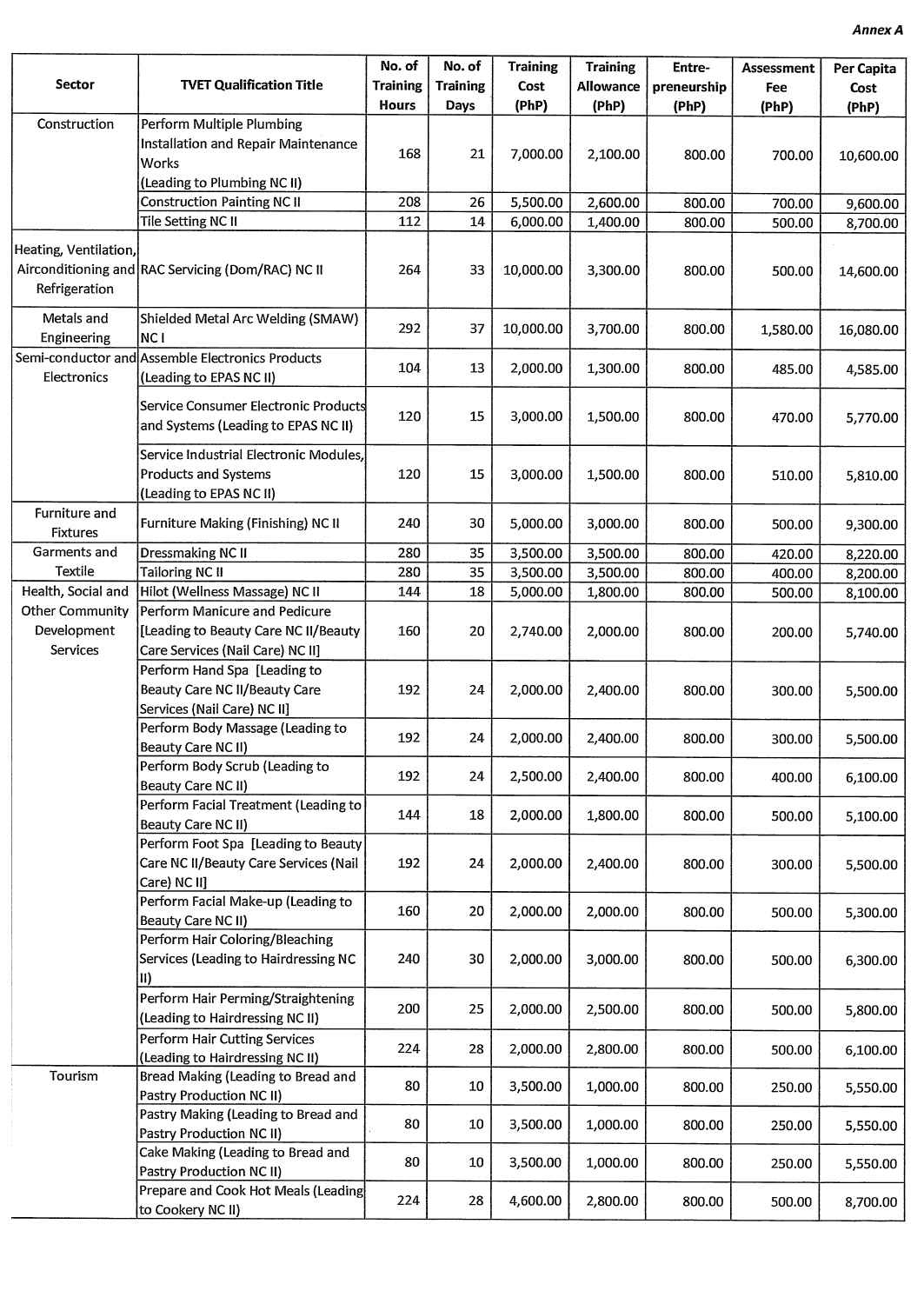| <b>Sector</b>                                            | <b>TVET Qualification Title</b>                                                                                 | No. of<br><b>Training</b> | No. of<br><b>Training</b> | <b>Training</b><br>Cost | <b>Training</b><br><b>Allowance</b> | Entre-<br>preneurship | <b>Assessment</b><br>Fee | Per Capita<br>Cost |
|----------------------------------------------------------|-----------------------------------------------------------------------------------------------------------------|---------------------------|---------------------------|-------------------------|-------------------------------------|-----------------------|--------------------------|--------------------|
|                                                          |                                                                                                                 | <b>Hours</b>              | Days                      | (PhP)                   | (PhP)                               | (PhP)                 | (PhP)                    | (PhP)              |
| Construction                                             | Perform Multiple Plumbing<br><b>Installation and Repair Maintenance</b><br>Works<br>(Leading to Plumbing NC II) | 168                       | 21                        | 7,000.00                | 2,100.00                            | 800.00                | 700.00                   | 10,600.00          |
|                                                          | <b>Construction Painting NC II</b>                                                                              | 208                       | 26                        | 5,500.00                | 2,600.00                            | 800.00                | 700.00                   | 9,600.00           |
|                                                          | Tile Setting NC II                                                                                              | 112                       | 14                        | 6,000.00                | 1,400.00                            | 800.00                | 500.00                   | 8,700.00           |
| Heating, Ventilation,<br>Refrigeration                   | Airconditioning and RAC Servicing (Dom/RAC) NC II                                                               | 264                       | 33                        | 10,000.00               | 3,300.00                            | 800.00                | 500.00                   | 14,600.00          |
| Metals and<br>Engineering                                | Shielded Metal Arc Welding (SMAW)<br>NC I                                                                       | 292                       | 37                        | 10,000.00               | 3,700.00                            | 800.00                | 1,580.00                 | 16,080.00          |
| Electronics                                              | Semi-conductor and Assemble Electronics Products<br>(Leading to EPAS NC II)                                     | 104                       | 13                        | 2,000.00                | 1,300.00                            | 800.00                | 485.00                   | 4,585.00           |
|                                                          | Service Consumer Electronic Products<br>and Systems (Leading to EPAS NC II)                                     | 120                       | 15                        | 3,000.00                | 1,500.00                            | 800.00                | 470.00                   | 5,770.00           |
|                                                          | Service Industrial Electronic Modules,<br><b>Products and Systems</b><br>(Leading to EPAS NC II)                | 120                       | 15                        | 3,000.00                | 1,500.00                            | 800.00                | 510.00                   | 5,810.00           |
| Furniture and<br><b>Fixtures</b>                         | <b>Furniture Making (Finishing) NC II</b>                                                                       | 240                       | 30                        | 5,000.00                | 3,000.00                            | 800.00                | 500.00                   | 9,300.00           |
| Garments and                                             | Dressmaking NC II                                                                                               | 280                       | 35                        | 3,500.00                | 3,500.00                            | 800.00                | 420.00                   | 8,220.00           |
| Textile                                                  | Tailoring NC II                                                                                                 | 280                       | 35                        | 3,500.00                | 3,500.00                            | 800.00                | 400.00                   | 8,200.00           |
| Health, Social and                                       | Hilot (Wellness Massage) NC II                                                                                  | 144                       | 18                        | 5,000.00                | 1,800.00                            | 800.00                | 500.00                   | 8,100.00           |
| <b>Other Community</b><br>Development<br><b>Services</b> | Perform Manicure and Pedicure<br>[Leading to Beauty Care NC II/Beauty<br>Care Services (Nail Care) NC II]       | 160                       | 20                        | 2,740.00                | 2,000.00                            | 800.00                | 200.00                   | 5,740.00           |
|                                                          | Perform Hand Spa [Leading to<br>Beauty Care NC II/Beauty Care<br>Services (Nail Care) NC II]                    | 192                       | 24                        | 2,000.00                | 2,400.00                            | 800.00                | 300.00                   | 5,500.00           |
|                                                          | Perform Body Massage (Leading to<br>Beauty Care NC II)                                                          | 192                       | 24                        | 2,000.00                | 2,400.00                            | 800.00                | 300.00                   | 5,500.00           |
|                                                          | Perform Body Scrub (Leading to<br>Beauty Care NC II)                                                            | 192                       | 24                        | 2,500.00                | 2,400.00                            | 800.00                | 400.00                   | 6,100.00           |
|                                                          | Perform Facial Treatment (Leading to<br>Beauty Care NC II)                                                      | 144                       | 18                        | 2,000.00                | 1,800.00                            | 800.00                | 500.00                   | 5,100.00           |
|                                                          | Perform Foot Spa [Leading to Beauty]<br>Care NC II/Beauty Care Services (Nail<br>Care) NC II]                   | 192                       | 24                        | 2,000.00                | 2,400.00                            | 800.00                | 300.00                   | 5,500.00           |
|                                                          | Perform Facial Make-up (Leading to<br>Beauty Care NC II)                                                        | 160                       | 20                        | 2,000.00                | 2,000.00                            | 800.00                | 500.00                   | 5,300.00           |
|                                                          | Perform Hair Coloring/Bleaching<br>Services (Leading to Hairdressing NC<br>II)                                  | 240                       | 30                        | 2,000.00                | 3,000.00                            | 800.00                | 500.00                   | 6,300.00           |
|                                                          | Perform Hair Perming/Straightening<br>(Leading to Hairdressing NC II)                                           | 200                       | 25                        | 2,000.00                | 2,500.00                            | 800.00                | 500.00                   | 5,800.00           |
|                                                          | Perform Hair Cutting Services<br>(Leading to Hairdressing NC II)                                                | 224                       | 28                        | 2,000.00                | 2,800.00                            | 800.00                | 500.00                   | 6,100.00           |
| Tourism                                                  | Bread Making (Leading to Bread and<br>Pastry Production NC II)                                                  | 80                        | 10                        | 3,500.00                | 1,000.00                            | 800.00                | 250.00                   | 5,550.00           |
|                                                          | Pastry Making (Leading to Bread and<br>Pastry Production NC II)                                                 | 80                        | 10                        | 3,500.00                | 1,000.00                            | 800.00                | 250.00                   | 5,550.00           |
|                                                          | Cake Making (Leading to Bread and<br>Pastry Production NC II)                                                   | 80                        | 10                        | 3,500.00                | 1,000.00                            | 800.00                | 250.00                   | 5,550.00           |
|                                                          | Prepare and Cook Hot Meals (Leading<br>to Cookery NC II)                                                        | 224                       | 28                        | 4,600.00                | 2,800.00                            | 800.00                | 500.00                   | 8,700.00           |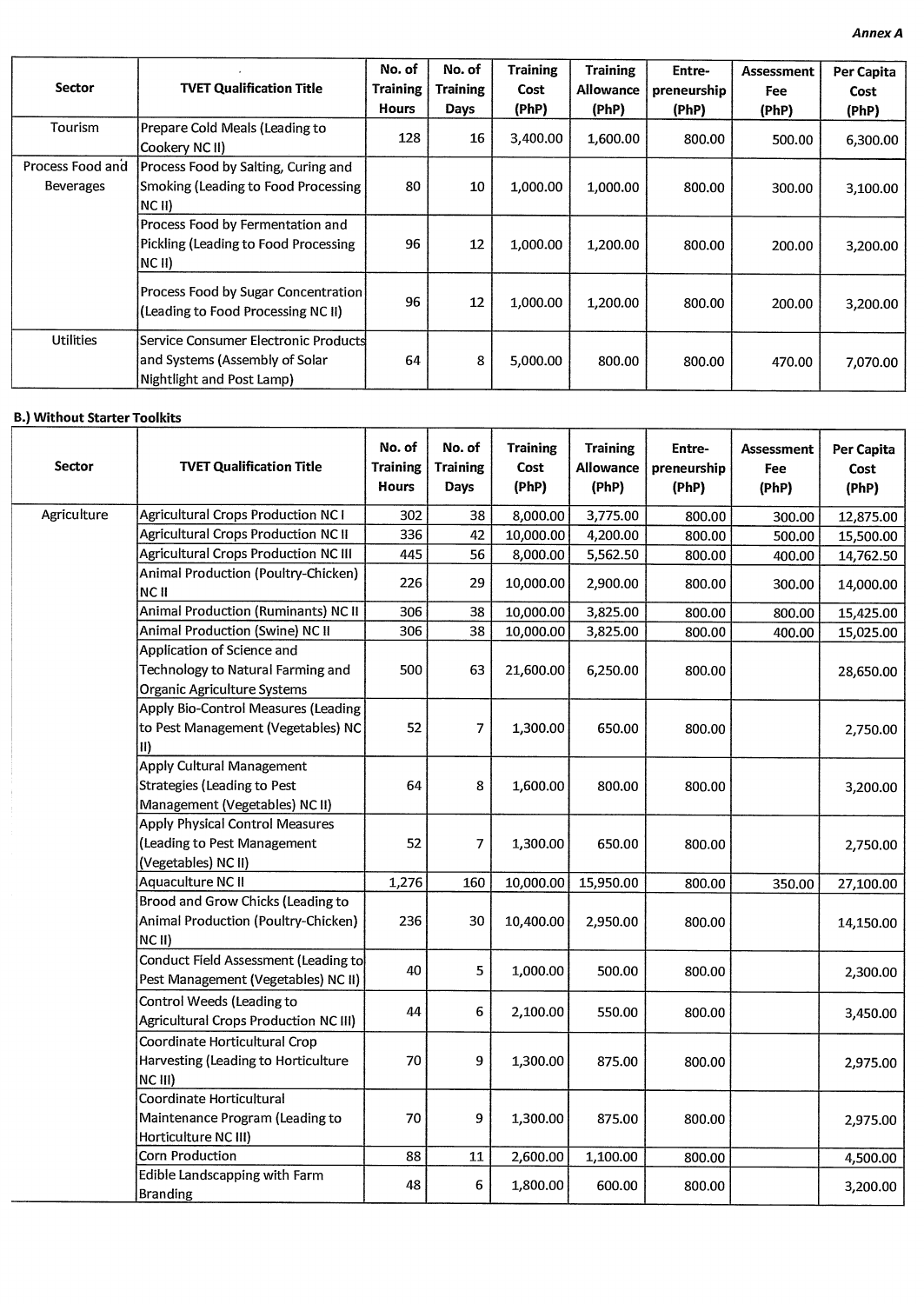|                  |                                      | No. of          | No. of          | <b>Training</b> | <b>Training</b>  | Entre-      | Assessment | Per Capita |
|------------------|--------------------------------------|-----------------|-----------------|-----------------|------------------|-------------|------------|------------|
| <b>Sector</b>    | <b>TVET Qualification Title</b>      | <b>Training</b> | <b>Training</b> | Cost            | <b>Allowance</b> | preneurship | Fee        | Cost       |
|                  |                                      | <b>Hours</b>    | Days            | (PhP)           | (PhP)            | (PhP)       | (PhP)      | (PhP)      |
| Tourism          | Prepare Cold Meals (Leading to       | 128             | 16              | 3,400.00        |                  |             |            |            |
|                  | Cookery NC II)                       |                 |                 |                 | 1,600.00         | 800.00      | 500.00     | 6,300.00   |
| Process Food and | Process Food by Salting, Curing and  |                 |                 |                 |                  |             |            |            |
| <b>Beverages</b> | Smoking (Leading to Food Processing  | 80              | 10              | 1,000.00        | 1,000.00         | 800,00      | 300.00     | 3,100.00   |
|                  | $NC$ II)                             |                 |                 |                 |                  |             |            |            |
|                  | Process Food by Fermentation and     |                 |                 |                 |                  |             |            |            |
|                  | Pickling (Leading to Food Processing | 96              | 12              | 1,000.00        | 1,200.00         | 800.00      | 200.00     | 3,200.00   |
|                  | INC II).                             |                 |                 |                 |                  |             |            |            |
|                  | Process Food by Sugar Concentration  |                 |                 |                 |                  |             |            |            |
|                  | (Leading to Food Processing NC II)   | 96              | 12              | 1,000.00        | 1,200.00         | 800.00      | 200.00     | 3,200.00   |
|                  |                                      |                 |                 |                 |                  |             |            |            |
| <b>Utilities</b> | Service Consumer Electronic Products |                 |                 |                 |                  |             |            |            |
|                  | and Systems (Assembly of Solar       | 64              | 8               | 5,000.00        | 800.00           | 800.00      | 470.00     | 7,070.00   |
|                  | Nightlight and Post Lamp)            |                 |                 |                 |                  |             |            |            |

### **B.) Without Starter Toolkits**

| Sector      | <b>TVET Qualification Title</b>                                                                          | No. of<br><b>Training</b><br><b>Hours</b> | No. of<br><b>Training</b><br><b>Days</b> | <b>Training</b><br>Cost<br>(PhP) | <b>Training</b><br>Allowance<br>(PhP) | Entre-<br>preneurship<br>(PhP) | <b>Assessment</b><br><b>Fee</b><br>(PhP) | Per Capita<br>Cost<br>(PhP) |
|-------------|----------------------------------------------------------------------------------------------------------|-------------------------------------------|------------------------------------------|----------------------------------|---------------------------------------|--------------------------------|------------------------------------------|-----------------------------|
| Agriculture | <b>Agricultural Crops Production NC1</b>                                                                 | 302                                       | 38                                       | 8,000.00                         | 3,775.00                              | 800.00                         | 300.00                                   | 12,875.00                   |
|             | <b>Agricultural Crops Production NC II</b>                                                               | 336                                       | 42                                       | 10,000.00                        | 4,200.00                              | 800.00                         | 500.00                                   | 15,500.00                   |
|             | <b>Agricultural Crops Production NC III</b>                                                              | 445                                       | 56                                       | 8,000.00                         | 5,562.50                              | 800.00                         | 400.00                                   | 14,762.50                   |
|             | Animal Production (Poultry-Chicken)<br><b>NC II</b>                                                      | 226                                       | 29                                       | 10,000.00                        | 2,900.00                              | 800.00                         | 300.00                                   | 14,000.00                   |
|             | Animal Production (Ruminants) NC II                                                                      | 306                                       | 38                                       | 10,000.00                        | 3,825.00                              | 800.00                         | 800.00                                   | 15,425.00                   |
|             | Animal Production (Swine) NC II                                                                          | 306                                       | 38                                       | 10,000.00                        | 3,825.00                              | 800.00                         | 400.00                                   | 15,025.00                   |
|             | Application of Science and                                                                               |                                           |                                          |                                  |                                       |                                |                                          |                             |
|             | Technology to Natural Farming and<br>Organic Agriculture Systems                                         | 500                                       | 63                                       | 21,600.00                        | 6,250.00                              | 800.00                         |                                          | 28,650.00                   |
|             | Apply Bio-Control Measures (Leading<br>to Pest Management (Vegetables) NC<br>$\vert \text{II} \rangle$   | 52                                        | $\overline{7}$                           | 1,300.00                         | 650.00                                | 800.00                         |                                          | 2,750.00                    |
|             | <b>Apply Cultural Management</b><br><b>Strategies (Leading to Pest</b><br>Management (Vegetables) NC II) | 64                                        | 8                                        | 1,600.00                         | 800.00                                | 800.00                         |                                          | 3,200.00                    |
|             | Apply Physical Control Measures<br>(Leading to Pest Management<br>(Vegetables) NC II)                    | 52                                        | $\overline{7}$                           | 1,300.00                         | 650.00                                | 800.00                         |                                          | 2,750.00                    |
|             | Aquaculture NC II                                                                                        | 1,276                                     | 160                                      | 10,000.00                        | 15,950.00                             | 800.00                         | 350.00                                   | 27,100.00                   |
|             | Brood and Grow Chicks (Leading to<br>Animal Production (Poultry-Chicken)<br>NCII)                        | 236                                       | 30                                       | 10,400.00                        | 2,950.00                              | 800.00                         |                                          | 14,150.00                   |
|             | Conduct Field Assessment (Leading to<br>Pest Management (Vegetables) NC II)                              | 40                                        | 5                                        | 1,000.00                         | 500.00                                | 800.00                         |                                          | 2,300.00                    |
|             | Control Weeds (Leading to<br>Agricultural Crops Production NC III)                                       | 44                                        | 6                                        | 2,100.00                         | 550.00                                | 800.00                         |                                          | 3,450.00                    |
|             | Coordinate Horticultural Crop<br>Harvesting (Leading to Horticulture<br>NC III)                          | 70                                        | 9                                        | 1,300.00                         | 875.00                                | 800.00                         |                                          | 2,975.00                    |
|             | Coordinate Horticultural<br>Maintenance Program (Leading to<br>Horticulture NC III)                      |                                           | 9                                        | 1,300.00                         | 875.00                                | 800.00                         |                                          | 2,975.00                    |
|             | Corn Production                                                                                          | 88                                        | 11                                       | 2,600.00                         | 1,100.00                              | 800.00                         |                                          | 4,500.00                    |
|             | Edible Landscapping with Farm<br><b>Branding</b>                                                         | 48                                        | 6                                        | 1,800.00                         | 600.00                                | 800.00                         |                                          | 3,200.00                    |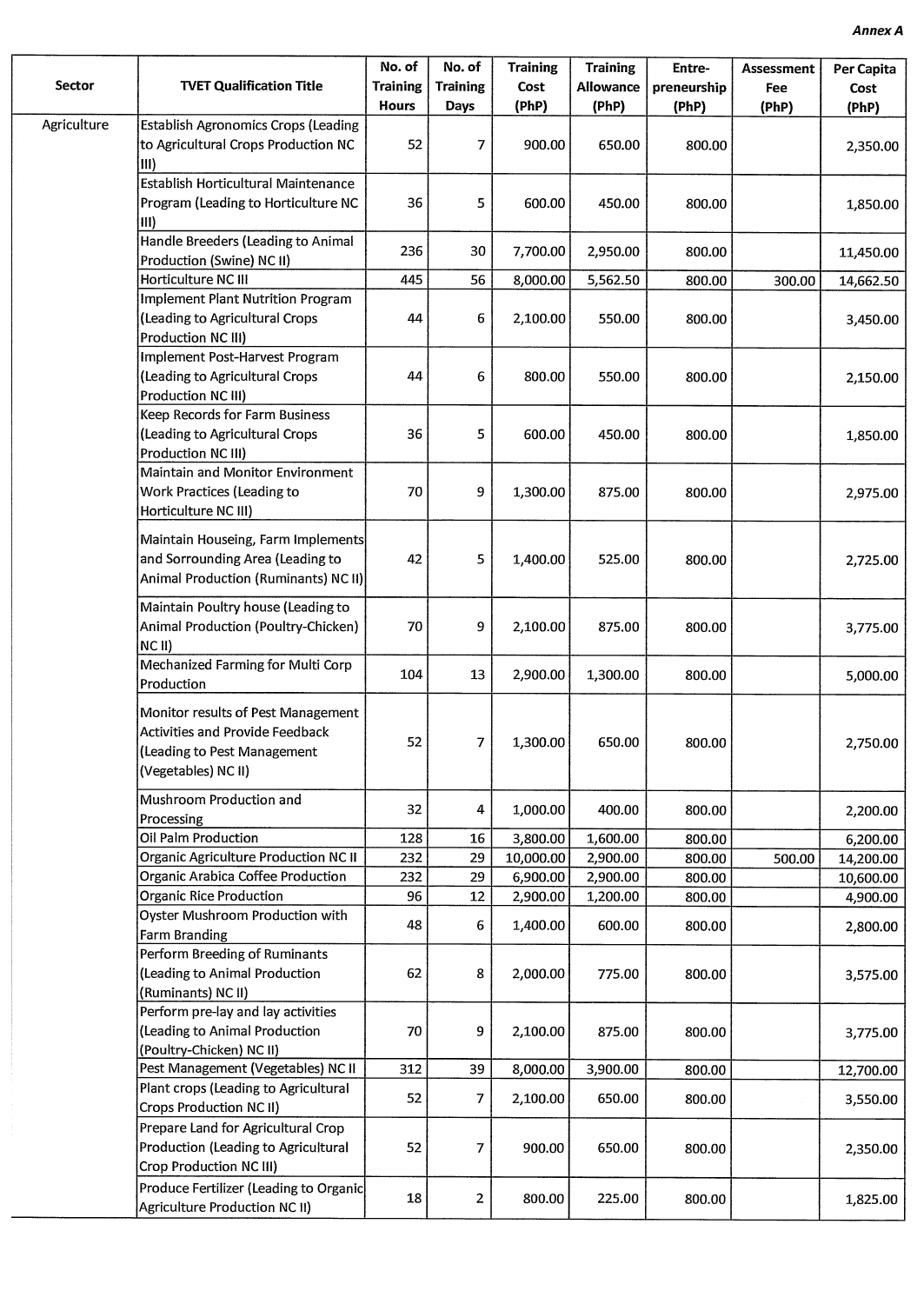| Sector      | <b>TVET Qualification Title</b>                                                                                                    | No. of<br><b>Training</b><br><b>Hours</b> | No. of<br><b>Training</b><br><b>Days</b> | <b>Training</b><br>Cost<br>(PhP) | <b>Training</b><br><b>Allowance</b><br>(PhP) | Entre-<br>preneurship<br>(PhP) | Assessment<br>Fee<br>(PhP) | Per Capita<br>Cost<br>(PhP) |
|-------------|------------------------------------------------------------------------------------------------------------------------------------|-------------------------------------------|------------------------------------------|----------------------------------|----------------------------------------------|--------------------------------|----------------------------|-----------------------------|
| Agriculture | <b>Establish Agronomics Crops (Leading</b>                                                                                         |                                           |                                          |                                  |                                              |                                |                            |                             |
|             | to Agricultural Crops Production NC<br>$\vert$ III)                                                                                | 52                                        | 7                                        | 900.00                           | 650.00                                       | 800.00                         |                            | 2,350.00                    |
|             | Establish Horticultural Maintenance                                                                                                |                                           |                                          |                                  |                                              |                                |                            |                             |
|             | Program (Leading to Horticulture NC<br>$\vert \vert \vert \vert$                                                                   | 36                                        | 5                                        | 600.00                           | 450.00                                       | 800.00                         |                            | 1,850.00                    |
|             | Handle Breeders (Leading to Animal<br>Production (Swine) NC II)                                                                    | 236                                       | 30                                       | 7,700.00                         | 2,950.00                                     | 800.00                         |                            | 11,450.00                   |
|             | Horticulture NC III                                                                                                                | 445                                       | 56                                       | 8,000.00                         | 5,562.50                                     | 800.00                         | 300.00                     | 14,662.50                   |
|             | <b>Implement Plant Nutrition Program</b><br>(Leading to Agricultural Crops                                                         | 44                                        | 6                                        | 2,100.00                         | 550.00                                       | 800.00                         |                            | 3,450.00                    |
|             | Production NC III)<br>Implement Post-Harvest Program<br>(Leading to Agricultural Crops<br>Production NC III)                       | 44                                        | 6                                        | 800.00                           | 550.00                                       | 800.00                         |                            | 2,150.00                    |
|             | Keep Records for Farm Business<br>(Leading to Agricultural Crops<br>Production NC III)                                             | 36                                        | 5                                        | 600.00                           | 450.00                                       | 800.00                         |                            | 1,850.00                    |
|             | Maintain and Monitor Environment<br>Work Practices (Leading to<br>Horticulture NC III)                                             | 70                                        | 9                                        | 1,300.00                         | 875.00                                       | 800.00                         |                            | 2,975.00                    |
|             | Maintain Houseing, Farm Implements<br>and Sorrounding Area (Leading to<br>Animal Production (Ruminants) NC II)                     | 42                                        | 5                                        | 1,400.00                         | 525.00                                       | 800.00                         |                            | 2,725.00                    |
|             | Maintain Poultry house (Leading to<br>Animal Production (Poultry-Chicken)<br>$NC$ $II)$                                            | 70                                        | 9                                        | 2,100.00                         | 875.00                                       | 800.00                         |                            | 3,775.00                    |
|             | Mechanized Farming for Multi Corp<br>Production                                                                                    | 104                                       | 13                                       | 2,900.00                         | 1,300.00                                     | 800.00                         |                            | 5,000.00                    |
|             | Monitor results of Pest Management<br><b>Activities and Provide Feedback</b><br>(Leading to Pest Management<br>(Vegetables) NC II) | 52                                        | $\boldsymbol{7}$                         | 1,300.00                         | 650.00                                       | 800.00                         |                            | 2,750.00                    |
|             | Mushroom Production and<br>Processing                                                                                              | 32                                        | 4                                        | 1,000.00                         | 400.00                                       | 800.00                         |                            | 2,200.00                    |
|             | Oil Palm Production                                                                                                                | 128                                       | 16                                       | 3,800.00                         | 1,600.00                                     | 800.00                         |                            | 6,200.00                    |
|             | <b>Organic Agriculture Production NC II</b>                                                                                        | 232                                       | 29                                       | 10,000.00                        | 2,900.00                                     | 800.00                         | 500.00                     | 14,200.00                   |
|             | Organic Arabica Coffee Production                                                                                                  | 232                                       | 29                                       | 6,900.00                         | 2,900.00                                     | 800.00                         |                            | 10,600.00                   |
|             | <b>Organic Rice Production</b>                                                                                                     | 96                                        | 12                                       | 2,900.00                         | 1,200.00                                     | 800.00                         |                            | 4,900.00                    |
|             | Oyster Mushroom Production with<br>Farm Branding                                                                                   | 48                                        | 6                                        | 1,400.00                         | 600.00                                       | 800.00                         |                            | 2,800.00                    |
|             | Perform Breeding of Ruminants<br>(Leading to Animal Production<br>(Ruminants) NC II)                                               | 62                                        | 8                                        | 2,000.00                         | 775.00                                       | 800.00                         |                            | 3,575.00                    |
|             | Perform pre-lay and lay activities<br>(Leading to Animal Production<br>(Poultry-Chicken) NC II)                                    | 70                                        | 9                                        | 2,100.00                         | 875.00                                       | 800.00                         |                            | 3,775.00                    |
|             | Pest Management (Vegetables) NC II                                                                                                 | 312                                       | 39                                       | 8,000.00                         | 3,900.00                                     | 800.00                         |                            | 12,700.00                   |
|             | Plant crops (Leading to Agricultural<br>Crops Production NC II)                                                                    | 52                                        | $\overline{7}$                           | 2,100.00                         | 650.00                                       | 800.00                         |                            | 3,550.00                    |
|             | Prepare Land for Agricultural Crop<br>Production (Leading to Agricultural<br>Crop Production NC III)                               | 52                                        | 7                                        | 900.00                           | 650.00                                       | 800.00                         |                            | 2,350.00                    |
|             | Produce Fertilizer (Leading to Organic<br>Agriculture Production NC II)                                                            | 18                                        | $\mathbf{2}$                             | 800.00                           | 225.00                                       | 800.00                         |                            | 1,825.00                    |
|             |                                                                                                                                    |                                           |                                          |                                  |                                              |                                |                            |                             |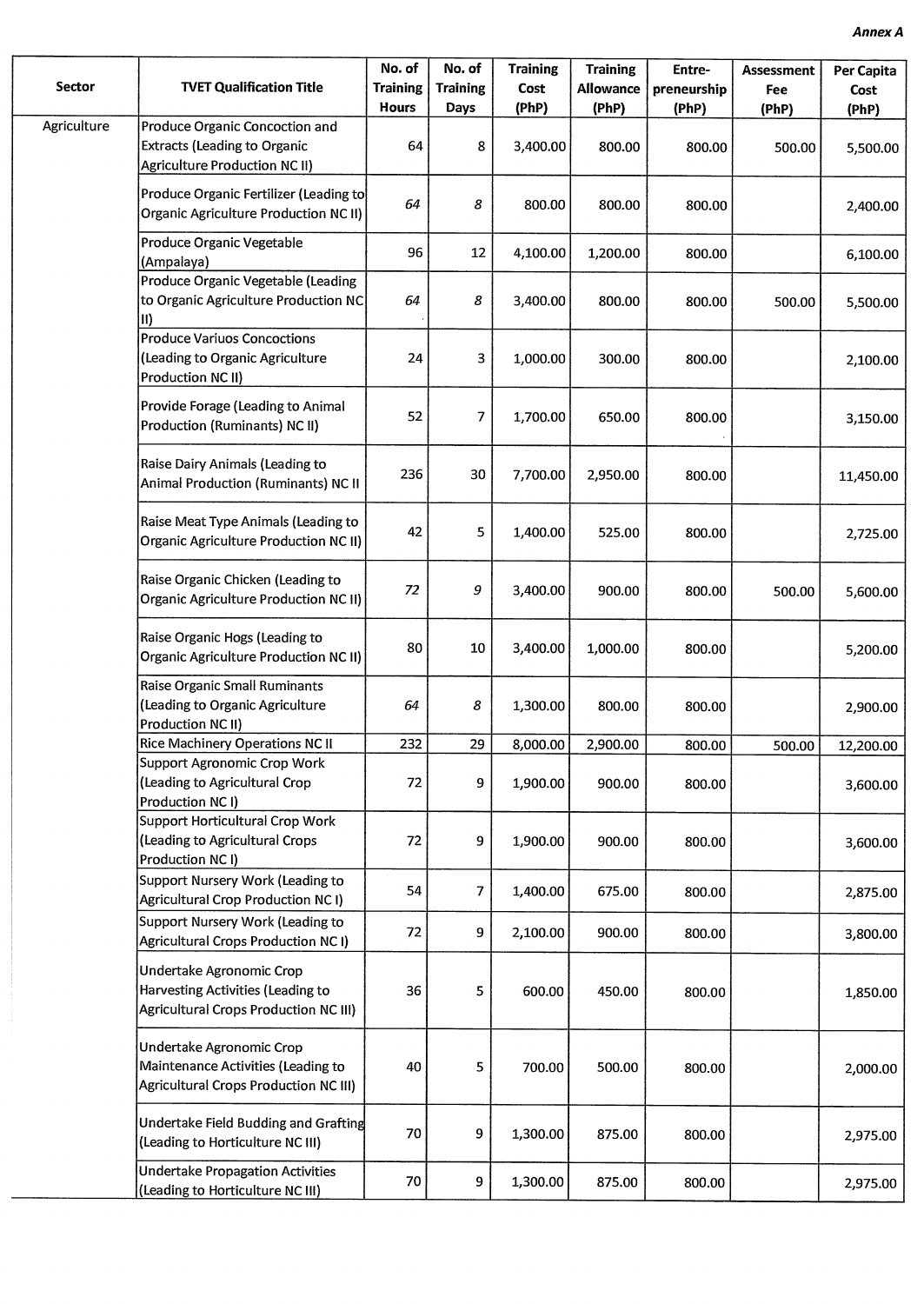| <b>Sector</b> | <b>TVET Qualification Title</b>                                                                               | No. of<br><b>Training</b><br><b>Hours</b> | No. of<br><b>Training</b><br>Days | <b>Training</b><br>Cost<br>(PhP) | <b>Training</b><br><b>Allowance</b><br>(PhP) | Entre-<br>preneurship<br>(PhP) | <b>Assessment</b><br>Fee<br>(PhP) | Per Capita<br>Cost<br>(PhP) |
|---------------|---------------------------------------------------------------------------------------------------------------|-------------------------------------------|-----------------------------------|----------------------------------|----------------------------------------------|--------------------------------|-----------------------------------|-----------------------------|
| Agriculture   | Produce Organic Concoction and<br><b>Extracts (Leading to Organic</b><br><b>Agriculture Production NC II)</b> | 64                                        | 8                                 | 3,400.00                         | 800.00                                       | 800.00                         | 500.00                            | 5,500.00                    |
|               | Produce Organic Fertilizer (Leading to<br><b>Organic Agriculture Production NC II)</b>                        | 64                                        | 8                                 | 800.00                           | 800.00                                       | 800.00                         |                                   | 2,400.00                    |
|               | Produce Organic Vegetable<br>(Ampalaya)                                                                       | 96                                        | 12                                | 4,100.00                         | 1,200.00                                     | 800.00                         |                                   | 6,100.00                    |
|               | Produce Organic Vegetable (Leading<br>to Organic Agriculture Production NC<br>$\mathbf{ii}$                   | 64                                        | 8                                 | 3,400.00                         | 800.00                                       | 800.00                         | 500.00                            | 5,500.00                    |
|               | <b>Produce Variuos Concoctions</b><br>(Leading to Organic Agriculture<br>Production NC II)                    | 24                                        | 3                                 | 1,000.00                         | 300.00                                       | 800.00                         |                                   | 2,100.00                    |
|               | Provide Forage (Leading to Animal<br>Production (Ruminants) NC II)                                            | 52                                        | 7                                 | 1,700.00                         | 650.00                                       | 800.00                         |                                   | 3,150.00                    |
|               | Raise Dairy Animals (Leading to<br>Animal Production (Ruminants) NC II                                        | 236                                       | 30                                | 7,700.00                         | 2,950.00                                     | 800.00                         |                                   | 11,450.00                   |
|               | Raise Meat Type Animals (Leading to<br><b>Organic Agriculture Production NC II)</b>                           | 42                                        | 5                                 | 1,400.00                         | 525.00                                       | 800.00                         |                                   | 2,725.00                    |
|               | Raise Organic Chicken (Leading to<br><b>Organic Agriculture Production NC II)</b>                             | 72                                        | 9                                 | 3,400.00                         | 900.00                                       | 800.00                         | 500.00                            | 5,600.00                    |
|               | Raise Organic Hogs (Leading to<br><b>Organic Agriculture Production NC II)</b>                                | 80                                        | 10                                | 3,400.00                         | 1,000.00                                     | 800.00                         |                                   | 5,200.00                    |
|               | Raise Organic Small Ruminants<br>(Leading to Organic Agriculture<br>Production NC II)                         | 64                                        | 8                                 | 1,300.00                         | 800.00                                       | 800.00                         |                                   | 2,900.00                    |
|               | Rice Machinery Operations NC II                                                                               | 232                                       | 29                                | 8,000.00                         | 2,900.00                                     | 800.00                         | 500.00                            | 12,200.00                   |
|               | Support Agronomic Crop Work<br>(Leading to Agricultural Crop<br>Production NC I)                              | 72                                        | 9                                 | 1,900.00                         | 900.00                                       | 800.00                         |                                   | 3,600.00                    |
|               | Support Horticultural Crop Work<br>(Leading to Agricultural Crops<br>Production NC I)                         | 72                                        | 9                                 | 1,900.00                         | 900.00                                       | 800.00                         |                                   | 3,600.00                    |
|               | Support Nursery Work (Leading to<br>Agricultural Crop Production NC I)                                        | 54                                        | 7                                 | 1,400.00                         | 675.00                                       | 800.00                         |                                   | 2,875.00                    |
|               | Support Nursery Work (Leading to<br>Agricultural Crops Production NC I)                                       | 72                                        | 9                                 | 2,100.00                         | 900.00                                       | 800.00                         |                                   | 3,800.00                    |
|               | Undertake Agronomic Crop<br>Harvesting Activities (Leading to<br>Agricultural Crops Production NC III)        | 36                                        | 5                                 | 600.00                           | 450.00                                       | 800.00                         |                                   | 1,850.00                    |
|               | Undertake Agronomic Crop<br>Maintenance Activities (Leading to<br>Agricultural Crops Production NC III)       | 40                                        | 5                                 | 700.00                           | 500.00                                       | 800.00                         |                                   | 2,000.00                    |
|               | Undertake Field Budding and Grafting<br>(Leading to Horticulture NC III)                                      | 70                                        | 9                                 | 1,300.00                         | 875.00                                       | 800.00                         |                                   | 2,975.00                    |
|               | <b>Undertake Propagation Activities</b><br>(Leading to Horticulture NC III)                                   | 70                                        | 9                                 | 1,300.00                         | 875.00                                       | 800.00                         |                                   | 2,975.00                    |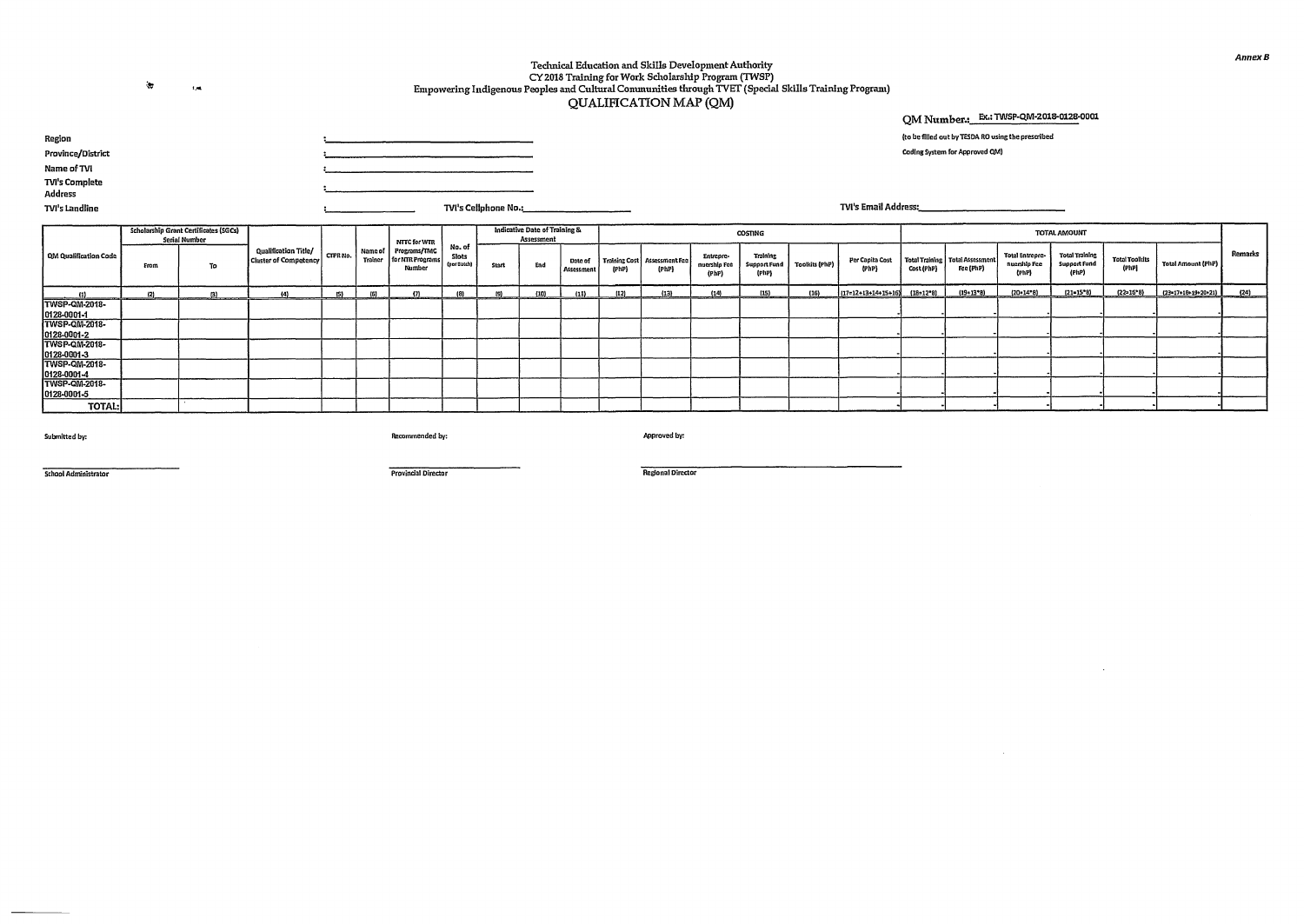$\Delta\tau$ t,

## Technical Education and Skills Development Authority CY 2018 Training for Work Scholarship Program (TWSP) Empowering Indigenous Peoples and Cultural Communities through TVET (Special Skills Training Program) QUALIFICATION MAP (QM)

### **QM Number.: Ex.: TINSP-QM-2018-0128-0001**

 $\sim 10^{-1}$ 

| (to be filled out by TESDA RO using the prescribed |  |  |
|----------------------------------------------------|--|--|
|                                                    |  |  |

Coding System for Approved OM)

**TVI's Email Address:** 

**Region Province/District Name of TV! TVI's Complete Address 11/I's Cellphone No.:** 

**TVI's Landline** 

|                                     |      | <b>Scholarship Grant Certificates (SGCs)</b><br><b>Serial Number</b> |                                               |         |                        | NTTC for WTR                               |                                |              | Indicative Date of Training &<br><b>Assessment</b> |                       |       |                                         |                                    | COSTING                           |                |                          |            |                                                |                                                 | TOTAL AMOUNT                                          |                                |                     |         |
|-------------------------------------|------|----------------------------------------------------------------------|-----------------------------------------------|---------|------------------------|--------------------------------------------|--------------------------------|--------------|----------------------------------------------------|-----------------------|-------|-----------------------------------------|------------------------------------|-----------------------------------|----------------|--------------------------|------------|------------------------------------------------|-------------------------------------------------|-------------------------------------------------------|--------------------------------|---------------------|---------|
| QM Qualification Code               | From | To                                                                   | Qualification Title/<br>Cluster of Competency | CTPRNo. | l Name of l<br>Trainer | Programs/TMC<br>for NTR Programs<br>Number | No. of<br>Slots<br>(per Datch) | End<br>Start |                                                    | Date of<br>Assessment | (PhP) | Training Cost   Assessment Fee<br>(PhP) | Entropre-<br>nuership Fee<br>(PhP) | Training<br>Support Fund<br>(PhP) | Toolkits (PhP) | Per Capita Cost<br>(PhP) | Cost (PhP) | Total Training   Total Assessment<br>Fee (PhP) | <b>Total Entrepre-</b><br>nuarship Fee<br>(PhP) | <b>Total Training</b><br><b>Support Fund</b><br>(PhP) | <b>Total Toolkits</b><br>(PhP) | Total Amount (PhP)  | Remarks |
| $\overline{u}$                      |      | m                                                                    | (4)                                           | i > 1   | 10 <sup>1</sup>        | $f^*$                                      |                                |              | 1101                                               |                       | (12)  | (13)                                    | (14)                               | (15)                              | (16)           | ${17=12*13*14*15*16}$    | (18=12*8)  | $(19 - 13 - 8)$                                | $(20-14*8)$                                     | $(21 - 15^{\circ}8)$                                  | $(22 - 16°8)$                  | (23-17+10+19+20+21) | (24)    |
| TWSP-QM-2018-<br>0128-0001-1        |      |                                                                      |                                               |         |                        |                                            |                                |              |                                                    |                       |       |                                         |                                    |                                   |                |                          |            |                                                |                                                 |                                                       |                                |                     |         |
| TWSP-QM-2018-                       |      |                                                                      |                                               |         |                        |                                            |                                |              |                                                    |                       |       |                                         |                                    |                                   |                |                          |            |                                                |                                                 |                                                       |                                |                     |         |
| 0128-0001-2<br><b>TWSP-QM-2018-</b> |      |                                                                      |                                               |         |                        |                                            |                                |              |                                                    |                       |       |                                         |                                    |                                   |                |                          |            |                                                |                                                 |                                                       |                                |                     |         |
| 0128-0001-3                         |      |                                                                      |                                               |         |                        |                                            |                                |              |                                                    |                       |       |                                         |                                    |                                   |                |                          |            |                                                |                                                 |                                                       |                                |                     |         |
| TWSP-QM-2018-<br>0128-0001-4        |      |                                                                      |                                               |         |                        |                                            |                                |              |                                                    |                       |       |                                         |                                    |                                   |                |                          |            |                                                |                                                 |                                                       |                                |                     |         |
| TWSP-QM-2018-<br>0128-0001-5        |      |                                                                      |                                               |         |                        |                                            |                                |              |                                                    |                       |       |                                         |                                    |                                   |                |                          |            |                                                |                                                 |                                                       |                                |                     |         |
| <b>TOTAL:</b>                       |      |                                                                      |                                               |         |                        |                                            |                                |              |                                                    |                       |       |                                         |                                    |                                   |                |                          |            |                                                |                                                 |                                                       |                                |                     |         |

Submitted by:

Recommended by:

Approved by:

School Administrator

Provincial Director

Regional Director

**Annex S**